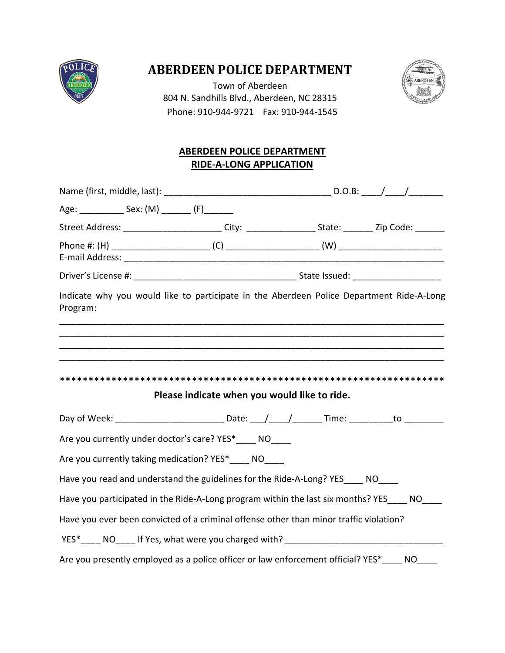

# **ABERDEEN POLICE DEPARTMENT**

Town of Aberdeen 804 N. Sandhills Blvd., Aberdeen, NC 28315 Phone: 910-944-9721 Fax: 910-944-1545



# **ABERDEEN POLICE DEPARTMENT RIDE-A-LONG APPLICATION**

| Age: ________________ Sex: (M) _________ (F) ________ |                                                                                                                                                                                                                   |  |  |
|-------------------------------------------------------|-------------------------------------------------------------------------------------------------------------------------------------------------------------------------------------------------------------------|--|--|
|                                                       | Street Address: __________________________City: ____________________State: ________Zip Code: _______                                                                                                              |  |  |
|                                                       |                                                                                                                                                                                                                   |  |  |
|                                                       |                                                                                                                                                                                                                   |  |  |
|                                                       |                                                                                                                                                                                                                   |  |  |
| Program:                                              | Indicate why you would like to participate in the Aberdeen Police Department Ride-A-Long<br><u> 1989 - Johann Stoff, deutscher Stoff, der Stoff, der Stoff, der Stoff, der Stoff, der Stoff, der Stoff, der S</u> |  |  |
|                                                       | Please indicate when you would like to ride.                                                                                                                                                                      |  |  |
|                                                       | Day of Week: _________________________________Date: ___/ ____/ _________Time: ____________to ____________                                                                                                         |  |  |
|                                                       | Are you currently under doctor's care? YES*____ NO____                                                                                                                                                            |  |  |
|                                                       | Are you currently taking medication? YES*____ NO____                                                                                                                                                              |  |  |
|                                                       | Have you read and understand the guidelines for the Ride-A-Long? YES ____ NO____                                                                                                                                  |  |  |
|                                                       | Have you participated in the Ride-A-Long program within the last six months? YES NO                                                                                                                               |  |  |
|                                                       | Have you ever been convicted of a criminal offense other than minor traffic violation?                                                                                                                            |  |  |
|                                                       |                                                                                                                                                                                                                   |  |  |
|                                                       | Are you presently employed as a police officer or law enforcement official? YES* NO                                                                                                                               |  |  |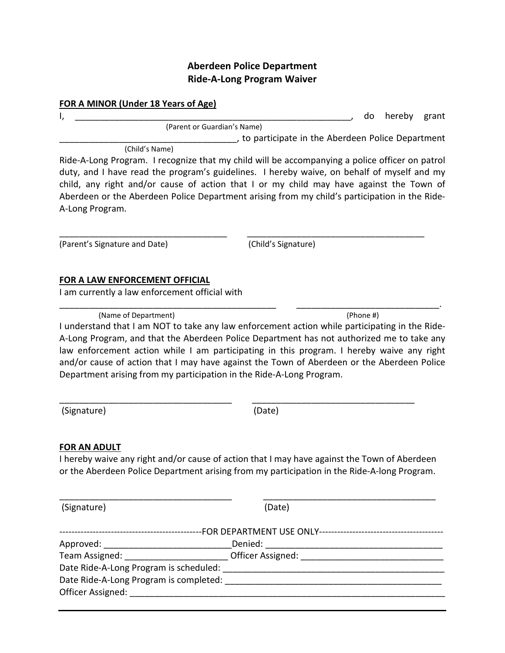## **Aberdeen Police Department Ride-A-Long Program Waiver**

#### **FOR A MINOR (Under 18 Years of Age)**

I, the contract of the contract of the contract of the contract of the contract of the contract of the contract of the contract of the contract of the contract of the contract of the contract of the contract of the contrac (Parent or Guardian's Name) \_\_\_\_\_\_\_\_\_\_\_\_\_\_\_\_\_\_\_\_\_\_\_\_\_\_\_\_\_\_\_\_\_\_\_\_, to participate in the Aberdeen Police Department

(Child's Name)

Ride-A-Long Program. I recognize that my child will be accompanying a police officer on patrol duty, and I have read the program's guidelines. I hereby waive, on behalf of myself and my child, any right and/or cause of action that I or my child may have against the Town of Aberdeen or the Aberdeen Police Department arising from my child's participation in the Ride-A-Long Program.

\_\_\_\_\_\_\_\_\_\_\_\_\_\_\_\_\_\_\_\_\_\_\_\_\_\_\_\_\_\_\_\_\_\_ \_\_\_\_\_\_\_\_\_\_\_\_\_\_\_\_\_\_\_\_\_\_\_\_\_\_\_\_\_\_\_\_\_\_\_\_

(Parent's Signature and Date) (Child's Signature)

### **FOR A LAW ENFORCEMENT OFFICIAL**

I am currently a law enforcement official with

(Name of Department) (Phone #)

I understand that I am NOT to take any law enforcement action while participating in the Ride-A-Long Program, and that the Aberdeen Police Department has not authorized me to take any law enforcement action while I am participating in this program. I hereby waive any right and/or cause of action that I may have against the Town of Aberdeen or the Aberdeen Police Department arising from my participation in the Ride-A-Long Program.

\_\_\_\_\_\_\_\_\_\_\_\_\_\_\_\_\_\_\_\_\_\_\_\_\_\_\_\_\_\_\_\_\_\_\_\_\_\_\_\_\_\_\_\_ \_\_\_\_\_\_\_\_\_\_\_\_\_\_\_\_\_\_\_\_\_\_\_\_\_\_\_\_\_.

(Signature) (Date)

\_\_\_\_\_\_\_\_\_\_\_\_\_\_\_\_\_\_\_\_\_\_\_\_\_\_\_\_\_\_\_\_\_\_\_ \_\_\_\_\_\_\_\_\_\_\_\_\_\_\_\_\_\_\_\_\_\_\_\_\_\_\_\_\_\_\_\_\_

### **FOR AN ADULT**

I hereby waive any right and/or cause of action that I may have against the Town of Aberdeen or the Aberdeen Police Department arising from my participation in the Ride-A-long Program.

\_\_\_\_\_\_\_\_\_\_\_\_\_\_\_\_\_\_\_\_\_\_\_\_\_\_\_\_\_\_\_\_\_\_\_ \_\_\_\_\_\_\_\_\_\_\_\_\_\_\_\_\_\_\_\_\_\_\_\_\_\_\_\_\_\_\_\_\_\_\_

(Signature) (Date)

| Approved: National Approved:           | Denied:           |  |  |
|----------------------------------------|-------------------|--|--|
| Team Assigned:                         | Officer Assigned: |  |  |
| Date Ride-A-Long Program is scheduled: |                   |  |  |
| Date Ride-A-Long Program is completed: |                   |  |  |
| Officer Assigned:                      |                   |  |  |
|                                        |                   |  |  |